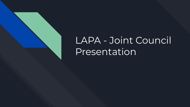

# LAPA - Joint Council Presentation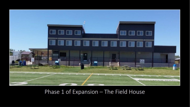

## Phase 1 of Expansion - The Field House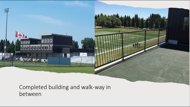Completed building and walk-way in between

oooo

**maaa** 

ninnin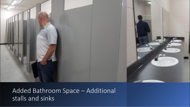

Added Bathroom Space - Additional stalls and sinks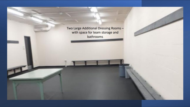Two Large Additional Dressing Roomswith space for team storage and bathrooms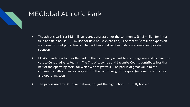

### MEGlobal Athletic Park

- The athletic park is a \$6.5 million recreational asset for the community (\$4.5 million for initial field and field house + \$2 million for field house expansion). The recent \$2 million expansion was done without public funds. The park has got it right in finding corporate and private sponsors.
- LAPA's mandate is to offer the park to the community at cost to encourage use and to minimize cost to Central Alberta teams. The City of Lacombe and Lacombe County contribute less than half of the operating costs, for which we are grateful. The park is of great value to the community without being a large cost to the community, both capital (or construction) costs and operating costs.
- The park is used by 30+ organizations, not just the high school. It is fully booked.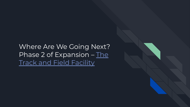Where Are We Going Next? Phase 2 of Expansion - [The](https://docs.google.com/document/d/1Mk-v2Tw5BuoooQr39844lt2MLc4X2gXV/edit) **[Track and Field Facility](https://docs.google.com/document/d/1Mk-v2Tw5BuoooQr39844lt2MLc4X2gXV/edit)**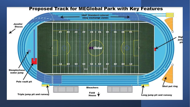#### **Proposed Track for MEGIobal Park with Key Features**